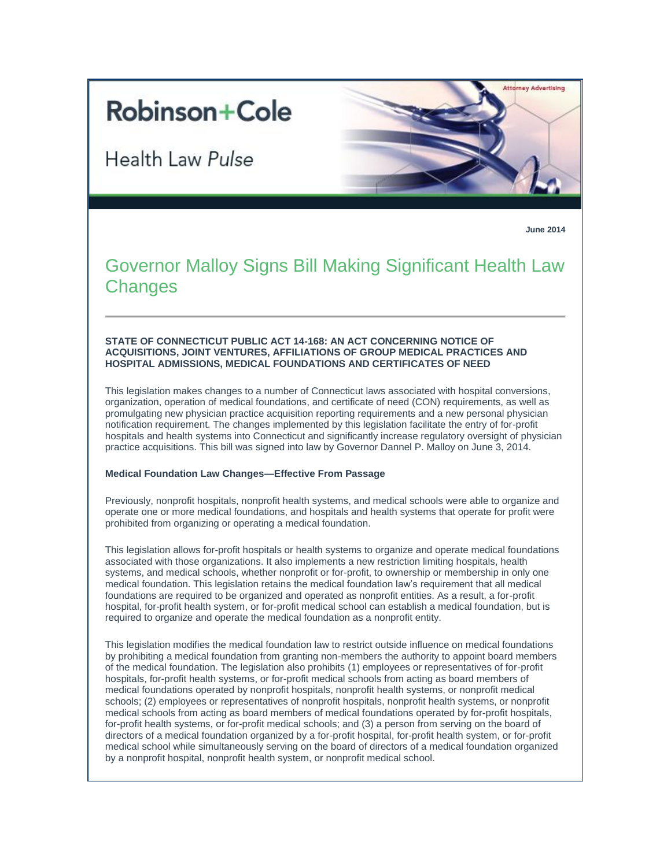# **Robinson+Cole**

**Health Law Pulse** 



**June 2014**

## Governor Malloy Signs Bill Making Significant Health Law **Changes**

#### **STATE OF CONNECTICUT PUBLIC ACT 14-168: AN ACT CONCERNING NOTICE OF ACQUISITIONS, JOINT VENTURES, AFFILIATIONS OF GROUP MEDICAL PRACTICES AND HOSPITAL ADMISSIONS, MEDICAL FOUNDATIONS AND CERTIFICATES OF NEED**

This legislation makes changes to a number of Connecticut laws associated with hospital conversions, organization, operation of medical foundations, and certificate of need (CON) requirements, as well as promulgating new physician practice acquisition reporting requirements and a new personal physician notification requirement. The changes implemented by this legislation facilitate the entry of for-profit hospitals and health systems into Connecticut and significantly increase regulatory oversight of physician practice acquisitions. This bill was signed into law by Governor Dannel P. Malloy on June 3, 2014.

#### **Medical Foundation Law Changes—Effective From Passage**

Previously, nonprofit hospitals, nonprofit health systems, and medical schools were able to organize and operate one or more medical foundations, and hospitals and health systems that operate for profit were prohibited from organizing or operating a medical foundation.

This legislation allows for-profit hospitals or health systems to organize and operate medical foundations associated with those organizations. It also implements a new restriction limiting hospitals, health systems, and medical schools, whether nonprofit or for-profit, to ownership or membership in only one medical foundation. This legislation retains the medical foundation law's requirement that all medical foundations are required to be organized and operated as nonprofit entities. As a result, a for-profit hospital, for-profit health system, or for-profit medical school can establish a medical foundation, but is required to organize and operate the medical foundation as a nonprofit entity.

This legislation modifies the medical foundation law to restrict outside influence on medical foundations by prohibiting a medical foundation from granting non-members the authority to appoint board members of the medical foundation. The legislation also prohibits (1) employees or representatives of for-profit hospitals, for-profit health systems, or for-profit medical schools from acting as board members of medical foundations operated by nonprofit hospitals, nonprofit health systems, or nonprofit medical schools; (2) employees or representatives of nonprofit hospitals, nonprofit health systems, or nonprofit medical schools from acting as board members of medical foundations operated by for-profit hospitals, for-profit health systems, or for-profit medical schools; and (3) a person from serving on the board of directors of a medical foundation organized by a for-profit hospital, for-profit health system, or for-profit medical school while simultaneously serving on the board of directors of a medical foundation organized by a nonprofit hospital, nonprofit health system, or nonprofit medical school.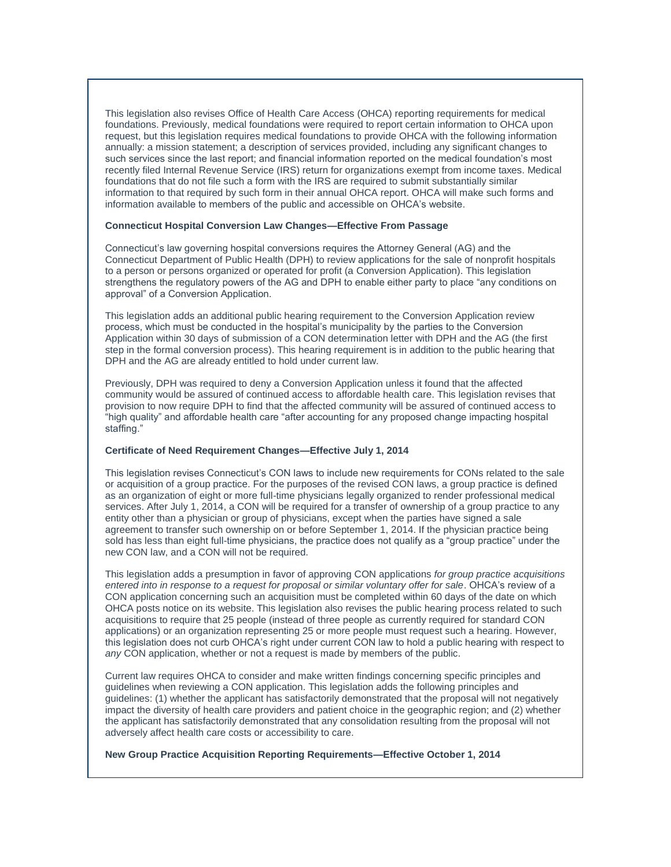This legislation also revises Office of Health Care Access (OHCA) reporting requirements for medical foundations. Previously, medical foundations were required to report certain information to OHCA upon request, but this legislation requires medical foundations to provide OHCA with the following information annually: a mission statement; a description of services provided, including any significant changes to such services since the last report; and financial information reported on the medical foundation's most recently filed Internal Revenue Service (IRS) return for organizations exempt from income taxes. Medical foundations that do not file such a form with the IRS are required to submit substantially similar information to that required by such form in their annual OHCA report. OHCA will make such forms and information available to members of the public and accessible on OHCA's website.

#### **Connecticut Hospital Conversion Law Changes—Effective From Passage**

Connecticut's law governing hospital conversions requires the Attorney General (AG) and the Connecticut Department of Public Health (DPH) to review applications for the sale of nonprofit hospitals to a person or persons organized or operated for profit (a Conversion Application). This legislation strengthens the regulatory powers of the AG and DPH to enable either party to place "any conditions on approval" of a Conversion Application.

This legislation adds an additional public hearing requirement to the Conversion Application review process, which must be conducted in the hospital's municipality by the parties to the Conversion Application within 30 days of submission of a CON determination letter with DPH and the AG (the first step in the formal conversion process). This hearing requirement is in addition to the public hearing that DPH and the AG are already entitled to hold under current law.

Previously, DPH was required to deny a Conversion Application unless it found that the affected community would be assured of continued access to affordable health care. This legislation revises that provision to now require DPH to find that the affected community will be assured of continued access to "high quality" and affordable health care "after accounting for any proposed change impacting hospital staffing."

#### **Certificate of Need Requirement Changes—Effective July 1, 2014**

This legislation revises Connecticut's CON laws to include new requirements for CONs related to the sale or acquisition of a group practice. For the purposes of the revised CON laws, a group practice is defined as an organization of eight or more full-time physicians legally organized to render professional medical services. After July 1, 2014, a CON will be required for a transfer of ownership of a group practice to any entity other than a physician or group of physicians, except when the parties have signed a sale agreement to transfer such ownership on or before September 1, 2014. If the physician practice being sold has less than eight full-time physicians, the practice does not qualify as a "group practice" under the new CON law, and a CON will not be required.

This legislation adds a presumption in favor of approving CON applications *for group practice acquisitions entered into in response to a request for proposal or similar voluntary offer for sale*. OHCA's review of a CON application concerning such an acquisition must be completed within 60 days of the date on which OHCA posts notice on its website. This legislation also revises the public hearing process related to such acquisitions to require that 25 people (instead of three people as currently required for standard CON applications) or an organization representing 25 or more people must request such a hearing. However, this legislation does not curb OHCA's right under current CON law to hold a public hearing with respect to *any* CON application, whether or not a request is made by members of the public.

Current law requires OHCA to consider and make written findings concerning specific principles and guidelines when reviewing a CON application. This legislation adds the following principles and guidelines: (1) whether the applicant has satisfactorily demonstrated that the proposal will not negatively impact the diversity of health care providers and patient choice in the geographic region; and (2) whether the applicant has satisfactorily demonstrated that any consolidation resulting from the proposal will not adversely affect health care costs or accessibility to care.

**New Group Practice Acquisition Reporting Requirements—Effective October 1, 2014**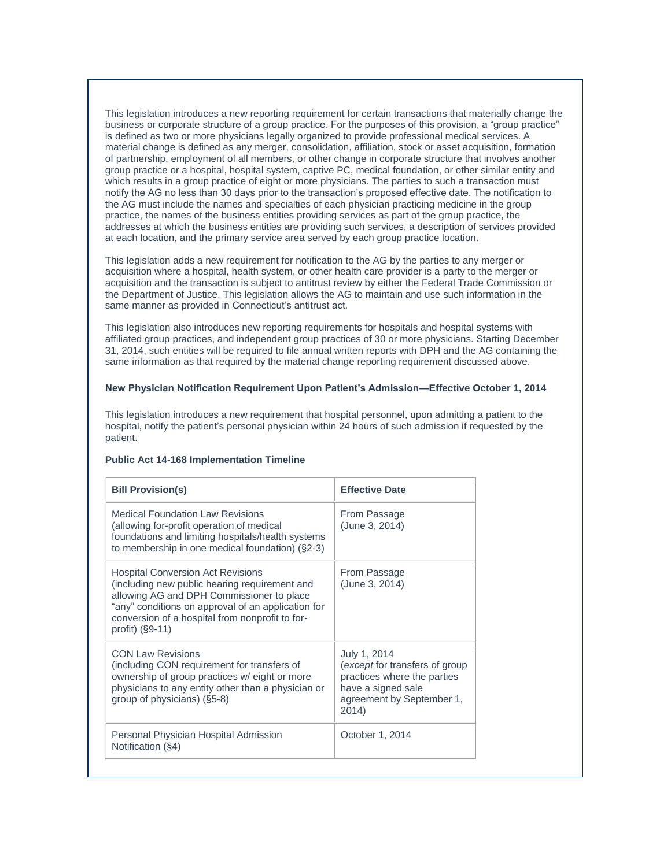This legislation introduces a new reporting requirement for certain transactions that materially change the business or corporate structure of a group practice. For the purposes of this provision, a "group practice" is defined as two or more physicians legally organized to provide professional medical services. A material change is defined as any merger, consolidation, affiliation, stock or asset acquisition, formation of partnership, employment of all members, or other change in corporate structure that involves another group practice or a hospital, hospital system, captive PC, medical foundation, or other similar entity and which results in a group practice of eight or more physicians. The parties to such a transaction must notify the AG no less than 30 days prior to the transaction's proposed effective date. The notification to the AG must include the names and specialties of each physician practicing medicine in the group practice, the names of the business entities providing services as part of the group practice, the addresses at which the business entities are providing such services, a description of services provided at each location, and the primary service area served by each group practice location.

This legislation adds a new requirement for notification to the AG by the parties to any merger or acquisition where a hospital, health system, or other health care provider is a party to the merger or acquisition and the transaction is subject to antitrust review by either the Federal Trade Commission or the Department of Justice. This legislation allows the AG to maintain and use such information in the same manner as provided in Connecticut's antitrust act.

This legislation also introduces new reporting requirements for hospitals and hospital systems with affiliated group practices, and independent group practices of 30 or more physicians. Starting December 31, 2014, such entities will be required to file annual written reports with DPH and the AG containing the same information as that required by the material change reporting requirement discussed above.

### **New Physician Notification Requirement Upon Patient's Admission—Effective October 1, 2014**

This legislation introduces a new requirement that hospital personnel, upon admitting a patient to the hospital, notify the patient's personal physician within 24 hours of such admission if requested by the patient.

| <b>Bill Provision(s)</b>                                                                                                                                                                                                                                           | <b>Effective Date</b>                                                                                                                     |
|--------------------------------------------------------------------------------------------------------------------------------------------------------------------------------------------------------------------------------------------------------------------|-------------------------------------------------------------------------------------------------------------------------------------------|
| <b>Medical Foundation Law Revisions</b><br>(allowing for-profit operation of medical<br>foundations and limiting hospitals/health systems<br>to membership in one medical foundation) $(S2-3)$                                                                     | From Passage<br>(June 3, 2014)                                                                                                            |
| <b>Hospital Conversion Act Revisions</b><br>(including new public hearing requirement and<br>allowing AG and DPH Commissioner to place<br>"any" conditions on approval of an application for<br>conversion of a hospital from nonprofit to for-<br>profit) (§9-11) | From Passage<br>(June 3, 2014)                                                                                                            |
| <b>CON Law Revisions</b><br>(including CON requirement for transfers of<br>ownership of group practices w/ eight or more<br>physicians to any entity other than a physician or<br>group of physicians) (§5-8)                                                      | July 1, 2014<br>(except for transfers of group<br>practices where the parties<br>have a signed sale<br>agreement by September 1,<br>2014) |
| Personal Physician Hospital Admission<br>Notification (§4)                                                                                                                                                                                                         | October 1, 2014                                                                                                                           |

#### **Public Act 14-168 Implementation Timeline**